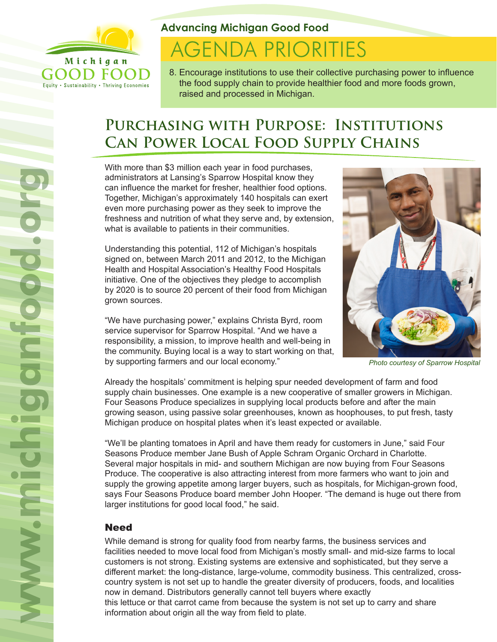

Equity . Sustainability . Thriving Economies

**Advancing Michigan Good Food**

# **AGENDA PRIORITIES**

8. Encourage institutions to use their collective purchasing power to influence the food supply chain to provide healthier food and more foods grown, raised and processed in Michigan.

# **Purchasing with Purpose: Institutions Can Power Local Food Supply Chains**

With more than \$3 million each year in food purchases, administrators at Lansing's Sparrow Hospital know they can influence the market for fresher, healthier food options. Together, Michigan's approximately 140 hospitals can exert even more purchasing power as they seek to improve the freshness and nutrition of what they serve and, by extension, what is available to patients in their communities.

Understanding this potential, 112 of Michigan's hospitals signed on, between March 2011 and 2012, to the Michigan Health and Hospital Association's Healthy Food Hospitals initiative. One of the objectives they pledge to accomplish by 2020 is to source 20 percent of their food from Michigan grown sources.

"We have purchasing power," explains Christa Byrd, room service supervisor for Sparrow Hospital. "And we have a responsibility, a mission, to improve health and well-being in the community. Buying local is a way to start working on that, by supporting farmers and our local economy."



*Photo courtesy of Sparrow Hospital*

Already the hospitals' commitment is helping spur needed development of farm and food supply chain businesses. One example is a new cooperative of smaller growers in Michigan. Four Seasons Produce specializes in supplying local products before and after the main growing season, using passive solar greenhouses, known as hoophouses, to put fresh, tasty Michigan produce on hospital plates when it's least expected or available.

"We'll be planting tomatoes in April and have them ready for customers in June," said Four Seasons Produce member Jane Bush of Apple Schram Organic Orchard in Charlotte. Several major hospitals in mid- and southern Michigan are now buying from Four Seasons Produce. The cooperative is also attracting interest from more farmers who want to join and supply the growing appetite among larger buyers, such as hospitals, for Michigan-grown food, says Four Seasons Produce board member John Hooper. "The demand is huge out there from larger institutions for good local food," he said.

## **Need**

While demand is strong for quality food from nearby farms, the business services and facilities needed to move local food from Michigan's mostly small- and mid-size farms to local customers is not strong. Existing systems are extensive and sophisticated, but they serve a different market: the long-distance, large-volume, commodity business. This centralized, crosscountry system is not set up to handle the greater diversity of producers, foods, and localities now in demand. Distributors generally cannot tell buyers where exactly this lettuce or that carrot came from because the system is not set up to carry and share information about origin all the way from field to plate.